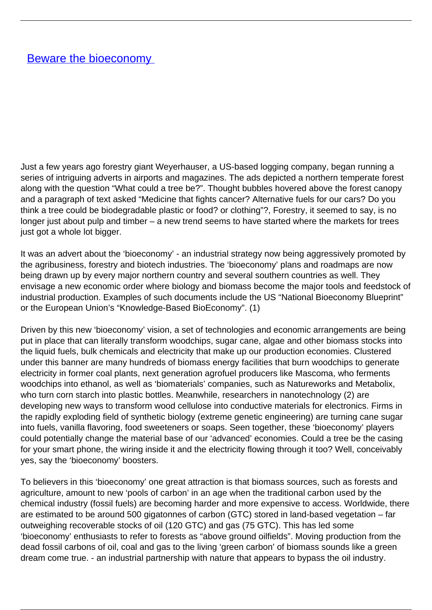Just a few years ago forestry giant Weyerhauser, a US-based logging company, began running a series of intriguing adverts in airports and magazines. The ads depicted a northern temperate forest along with the question "What could a tree be?". Thought bubbles hovered above the forest canopy and a paragraph of text asked "Medicine that fights cancer? Alternative fuels for our cars? Do you think a tree could be biodegradable plastic or food? or clothing"?, Forestry, it seemed to say, is no longer just about pulp and timber – a new trend seems to have started where the markets for trees just got a whole lot bigger.

It was an advert about the 'bioeconomy' - an industrial strategy now being aggressively promoted by the agribusiness, forestry and biotech industries. The 'bioeconomy' plans and roadmaps are now being drawn up by every major northern country and several southern countries as well. They envisage a new economic order where biology and biomass become the major tools and feedstock of industrial production. Examples of such documents include the US "National Bioeconomy Blueprint" or the European Union's "Knowledge-Based BioEconomy". (1)

Driven by this new 'bioeconomy' vision, a set of technologies and economic arrangements are being put in place that can literally transform woodchips, sugar cane, algae and other biomass stocks into the liquid fuels, bulk chemicals and electricity that make up our production economies. Clustered under this banner are many hundreds of biomass energy facilities that burn woodchips to generate electricity in former coal plants, next generation agrofuel producers like Mascoma, who ferments woodchips into ethanol, as well as 'biomaterials' companies, such as Natureworks and Metabolix, who turn corn starch into plastic bottles. Meanwhile, researchers in nanotechnology (2) are developing new ways to transform wood cellulose into conductive materials for electronics. Firms in the rapidly exploding field of synthetic biology (extreme genetic engineering) are turning cane sugar into fuels, vanilla flavoring, food sweeteners or soaps. Seen together, these 'bioeconomy' players could potentially change the material base of our 'advanced' economies. Could a tree be the casing for your smart phone, the wiring inside it and the electricity flowing through it too? Well, conceivably yes, say the 'bioeconomy' boosters.

To believers in this 'bioeconomy' one great attraction is that biomass sources, such as forests and agriculture, amount to new 'pools of carbon' in an age when the traditional carbon used by the chemical industry (fossil fuels) are becoming harder and more expensive to access. Worldwide, there are estimated to be around 500 gigatonnes of carbon (GTC) stored in land-based vegetation – far outweighing recoverable stocks of oil (120 GTC) and gas (75 GTC). This has led some 'bioeconomy' enthusiasts to refer to forests as "above ground oilfields". Moving production from the dead fossil carbons of oil, coal and gas to the living 'green carbon' of biomass sounds like a green dream come true. - an industrial partnership with nature that appears to bypass the oil industry.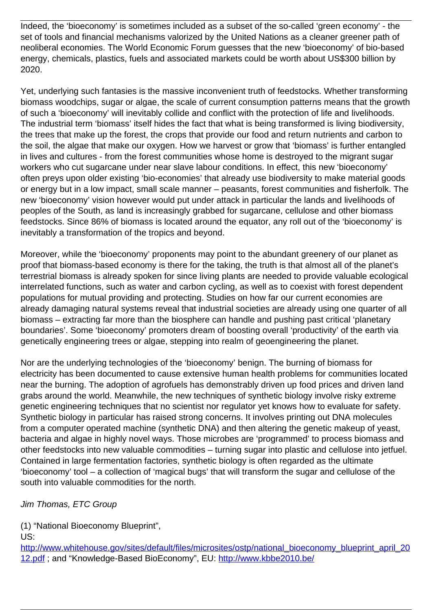Indeed, the 'bioeconomy' is sometimes included as a subset of the so-called 'green economy' - the set of tools and financial mechanisms valorized by the United Nations as a cleaner greener path of neoliberal economies. The World Economic Forum guesses that the new 'bioeconomy' of bio-based energy, chemicals, plastics, fuels and associated markets could be worth about US\$300 billion by 2020.

Yet, underlying such fantasies is the massive inconvenient truth of feedstocks. Whether transforming biomass woodchips, sugar or algae, the scale of current consumption patterns means that the growth of such a 'bioeconomy' will inevitably collide and conflict with the protection of life and livelihoods. The industrial term 'biomass' itself hides the fact that what is being transformed is living biodiversity, the trees that make up the forest, the crops that provide our food and return nutrients and carbon to the soil, the algae that make our oxygen. How we harvest or grow that 'biomass' is further entangled in lives and cultures - from the forest communities whose home is destroyed to the migrant sugar workers who cut sugarcane under near slave labour conditions. In effect, this new 'bioeconomy' often preys upon older existing 'bio-economies' that already use biodiversity to make material goods or energy but in a low impact, small scale manner – peasants, forest communities and fisherfolk. The new 'bioeconomy' vision however would put under attack in particular the lands and livelihoods of peoples of the South, as land is increasingly grabbed for sugarcane, cellulose and other biomass feedstocks. Since 86% of biomass is located around the equator, any roll out of the 'bioeconomy' is inevitably a transformation of the tropics and beyond.

Moreover, while the 'bioeconomy' proponents may point to the abundant greenery of our planet as proof that biomass-based economy is there for the taking, the truth is that almost all of the planet's terrestrial biomass is already spoken for since living plants are needed to provide valuable ecological interrelated functions, such as water and carbon cycling, as well as to coexist with forest dependent populations for mutual providing and protecting. Studies on how far our current economies are already damaging natural systems reveal that industrial societies are already using one quarter of all biomass – extracting far more than the biosphere can handle and pushing past critical 'planetary boundaries'. Some 'bioeconomy' promoters dream of boosting overall 'productivity' of the earth via genetically engineering trees or algae, stepping into realm of geoengineering the planet.

Nor are the underlying technologies of the 'bioeconomy' benign. The burning of biomass for electricity has been documented to cause extensive human health problems for communities located near the burning. The adoption of agrofuels has demonstrably driven up food prices and driven land grabs around the world. Meanwhile, the new techniques of synthetic biology involve risky extreme genetic engineering techniques that no scientist nor regulator yet knows how to evaluate for safety. Synthetic biology in particular has raised strong concerns. It involves printing out DNA molecules from a computer operated machine (synthetic DNA) and then altering the genetic makeup of yeast, bacteria and algae in highly novel ways. Those microbes are 'programmed' to process biomass and other feedstocks into new valuable commodities – turning sugar into plastic and cellulose into jetfuel. Contained in large fermentation factories, synthetic biology is often regarded as the ultimate 'bioeconomy' tool – a collection of 'magical bugs' that will transform the sugar and cellulose of the south into valuable commodities for the north.

## Jim Thomas, ETC Group

(1) "National Bioeconomy Blueprint",

US:

[http://www.whitehouse.gov/sites/default/files/microsites/ostp/national\\_bioeconomy\\_blueprint\\_april\\_20](http://www.whitehouse.gov/sites/default/files/microsites/ostp/national_bioeconomy_blueprint_april_2012.pdf) [12.pdf](http://www.whitehouse.gov/sites/default/files/microsites/ostp/national_bioeconomy_blueprint_april_2012.pdf) ; and "Knowledge-Based BioEconomy", EU:<http://www.kbbe2010.be/>